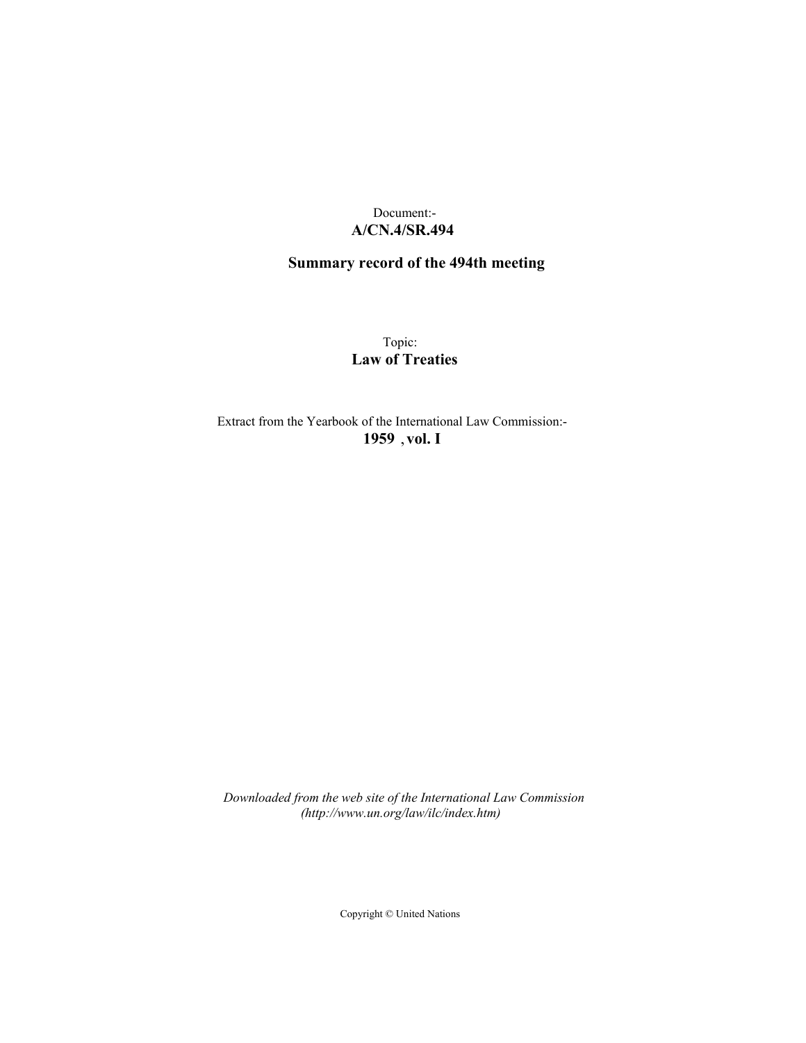## Document:- **A/CN.4/SR.494**

## **Summary record of the 494th meeting**

Topic: **Law of Treaties**

Extract from the Yearbook of the International Law Commission:- **1959** ,**vol. I**

*Downloaded from the web site of the International Law Commission (http://www.un.org/law/ilc/index.htm)*

Copyright © United Nations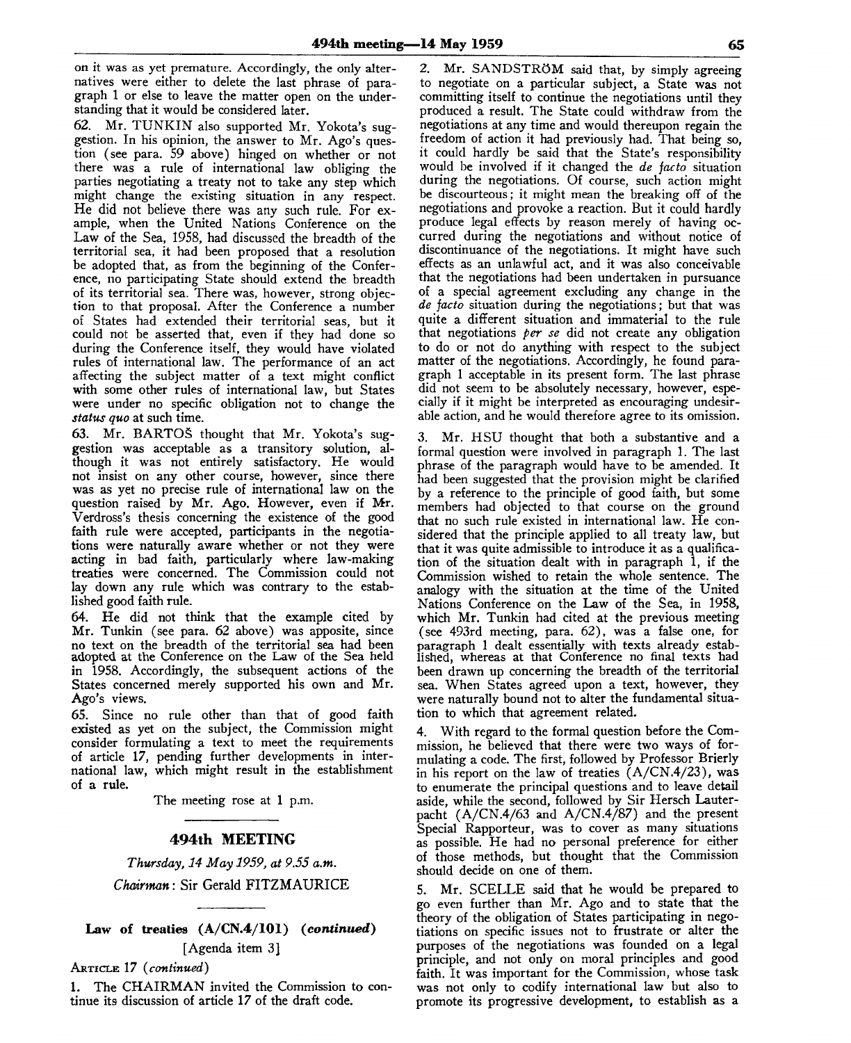on it was as yet premature. Accordingly, the only alternatives were either to delete the last phrase of paragraph 1 or else to leave the matter open on the understanding that it would be considered later.

62. Mr. TUNKIN also supported Mr. Yokota's suggestion. In his opinion, the answer to Mr. Ago's question (see para. 59 above) hinged on whether or not there was a rule of international law obliging the parties negotiating a treaty not to take any step which might change the existing situation in any respect. He did not believe there was any such rule. For example, when the United Nations Conference on the Law of the Sea, 1958, had discussed the breadth of the territorial sea, it had been proposed that a resolution be adopted that, as from the beginning of the Conference, no participating State should extend the breadth of its territorial sea. There was, however, strong objection to that proposal. After the Conference a number of States had extended their territorial seas, but it could not be asserted that, even if they had done so during the Conference itself, they would have violated rules of international law. The performance of an act affecting the subject matter of a text might conflict with some other rules of international law, but States were under no specific obligation not to change the *status quo* at such time.

63. Mr. BARTOS thought that Mr. Yokota's suggestion was acceptable as a transitory solution, although it was not entirely satisfactory. He would not insist on any other course, however, since there was as yet no precise rule of international law on the question raised by Mr. Ago. However, even if Mr. Verdross's thesis concerning the existence of the good faith rule were accepted, participants in the negotiations were naturally aware whether or not they were acting in bad faith, particularly where law-making treaties were concerned. The Commission could not lay down any rule which was contrary to the established good faith rule.

64. He did not think that the example cited by Mr. Tunkin (see para. 62 above) was apposite, since no text on the breadth of the territorial sea had been adopted at the Conference on the Law of the Sea held in 1958. Accordingly, the subsequent actions of the States concerned merely supported his own and Mr. Ago's views.

65. Since no rule other than that of good faith existed as yet on the subject, the Commission might consider formulating a text to meet the requirements of article 17, pending further developments in international law, which might result in the establishment of a rule.

The meeting rose at **1** p.m.

## **494th MEETING**

*Thursday, 14 May 1959, at 9.55 a.m. Chairman:* Sir Gerald FITZMAURICE

**Law of treaties (A/CN.4/101)** *{continued)* [Agenda item 3]

ARTICLE 17 *(continued)*

1. The CHAIRMAN invited the Commission to continue its discussion of article 17 of the draft code.

Mr. SANDSTRÖM said that, by simply agreeing to negotiate on a particular subject, a State was not committing itself to continue the negotiations until they produced a result. The State could withdraw from the negotiations at any time and would thereupon regain the freedom of action it had previously had. That being so, it could hardly be said that the State's responsibility would be involved if it changed the *de facto* situation during the negotiations. Of course, such action might be discourteous; it might mean the breaking off of the negotiations and provoke a reaction. But it could hardly produce legal effects by reason merely of having occurred during the negotiations and without notice of discontinuance of the negotiations. It might have such effects as an unlawful act, and it was also conceivable that the negotiations had been undertaken in pursuance of a special agreement excluding any change in the *de facto* situation during the negotiations; but that was quite a different situation and immaterial to the rule that negotiations *per se* did not create any obligation to do or not do anything with respect to the subject matter of the negotiations. Accordingly, he found paragraph 1 acceptable in its present form. The last phrase did not seem to be absolutely necessary, however, especially if it might be interpreted as encouraging undesirable action, and he would therefore agree to its omission.

3. Mr. HSU thought that both a substantive and a formal question were involved in paragraph 1. The last phrase of the paragraph would have to be amended. It had been suggested that the provision might be clarified by a reference to the principle of good faith, but some members had objected to that course on the ground that no such rule existed in international law. He considered that the principle applied to all treaty law, but that it was quite admissible to introduce it as a qualification of the situation dealt with in paragraph 1, if the Commission wished to retain the whole sentence. The analogy with the situation at the time of the United Nations Conference on the Law of the Sea, in 1958, which Mr. Tunkin had cited at the previous meeting (see 493rd meeting, para. 62), was a false one, for paragraph 1 dealt essentially with texts already established, whereas at that Conference no final texts had been drawn up concerning the breadth of the territorial sea. When States agreed upon a text, however, they were naturally bound not to alter the fundamental situation to which that agreement related.

4. With regard to the formal question before the Commission, he believed that there were two ways of formulating a code. The first, followed by Professor Brierly in his report on the law of treaties  $(A/CN.4/23)$ , was to enumerate the principal questions and to leave detail aside, while the second, followed by Sir Hersch Lauterpacht (A/CN.4/63 and A/CN.4/87) and the present Special Rapporteur, was to cover as many situations as possible. He had no personal preference for either of those methods, but thought that the Commission should decide on one of them.

5. Mr. SCELLE said that he would be prepared to go even further than Mr. Ago and to state that the theory of the obligation of States participating in negotiations on specific issues not to frustrate or alter the purposes of the negotiations was founded on a legal principle, and not only on moral principles and good faith. It was important for the Commission, whose task was not only to codify international law but also to promote its progressive development, to establish as a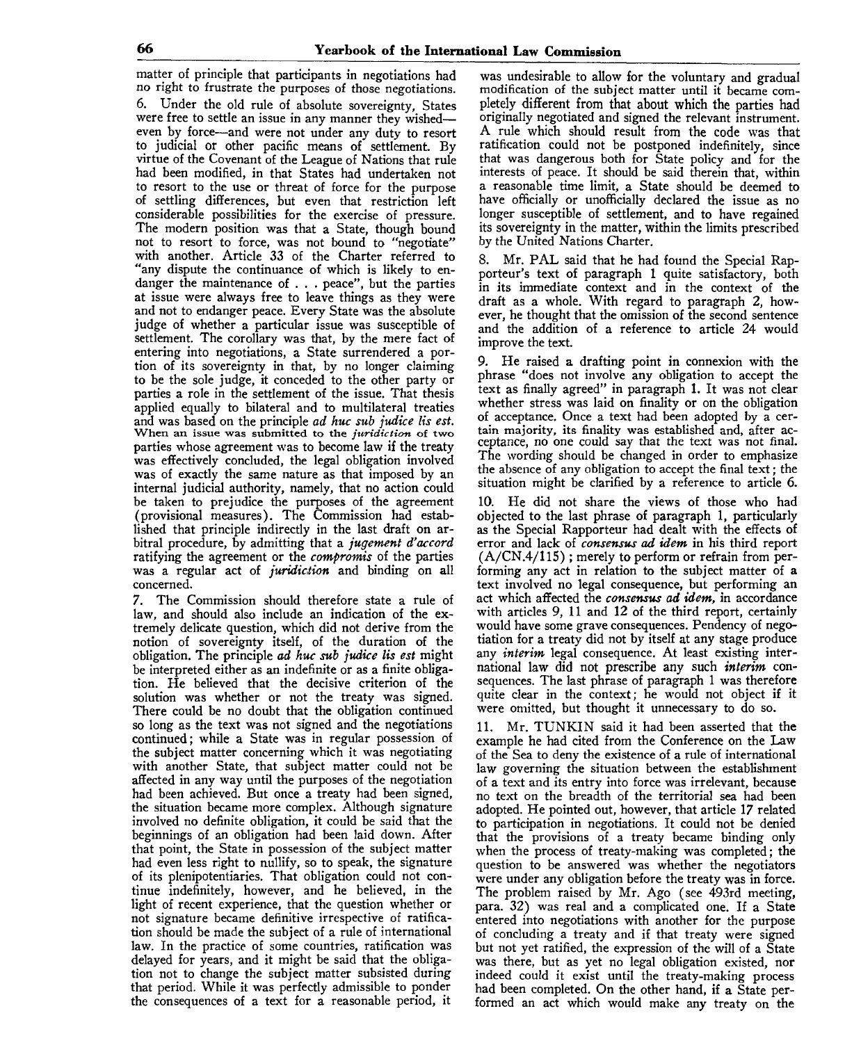matter of principle that participants in negotiations had no right to frustrate the purposes of those negotiations. 6. Under the old rule of absolute sovereignty, States were free to settle an issue in any manner they wished even by force—and were not under any duty to resort to judicial or other pacific means of settlement. By virtue of the Covenant of the League of Nations that rule had been modified, in that States had undertaken not to resort to the use or threat of force for the purpose of settling differences, but even that restriction left considerable possibilities for the exercise of pressure. The modern position was that a State, though bound not to resort to force, was not bound to "negotiate" with another. Article 33 of the Charter referred to "any dispute the continuance of which is likely to endanger the maintenance of .. . peace", but the parties at issue were always free to leave things as they were and not to endanger peace. Every State was the absolute judge of whether a particular issue was susceptible of settlement. The corollary was that, by the mere fact of entering into negotiations, a State surrendered a portion of its sovereignty in that, by no longer claiming to be the sole judge, it conceded to the other party or parties a role in the settlement of the issue. That thesis applied equally to bilateral and to multilateral treaties and was based on the principle *ad huc sub judice lis est*. When an issue was submitted to the *juridiction* of two parties whose agreement was to become law if the treaty was effectively concluded, the legal obligation involved was of exactly the same nature as that imposed by an internal judicial authority, namely, that no action could be taken to prejudice the purposes of the agreement (provisional measures). The Commission had established that principle indirectly in the last draft on arbitral procedure, by admitting that a *jugement d'accord* ratifying the agreement or the *compromis* of the parties was a regular act of *juridiction* and binding on all concerned.

7. The Commission should therefore state a rule of law, and should also include an indication of the extremely delicate question, which did not derive from the notion of sovereignty itself, of the duration of the obligation. The principle ad huc sub judice lis est might be interpreted either as an indefinite or as a finite obligation. He believed that the decisive criterion of the solution was whether or not the treaty was signed. There could be no doubt that the obligation continued so long as the text was not signed and the negotiations continued; while a State was in regular possession of the subject matter concerning which it was negotiating with another State, that subject matter could not be affected in any way until the purposes of the negotiation had been achieved. But once a treaty had been signed, the situation became more complex. Although signature involved no definite obligation, it could be said that the beginnings of an obligation had been laid down. After that point, the State in possession of the subject matter had even less right to nullify, so to speak, the signature of its plenipotentiaries. That obligation could not continue indefinitely, however, and he believed, in the light of recent experience, that the question whether or not signature became definitive irrespective of ratification should be made the subject of a rule of international law. In the practice of some countries, ratification was delayed for years, and it might be said that the obligation not to change the subject matter subsisted during that period. While it was perfectly admissible to ponder the consequences of a text for a reasonable period, it

was undesirable to allow for the voluntary and gradual modification of the subject matter until it became completely different from that about which the parties had originally negotiated and signed the relevant instrument. A rule which should result from the code was that ratification could not be postponed indefinitely, since that was dangerous both for State policy and for the interests of peace. It should be said therein that, within a reasonable time limit, a State should be deemed to have officially or unofficially declared the issue as no longer susceptible of settlement, and to have regained its sovereignty in the matter, within the limits prescribed by the United Nations Charter.

8. Mr. PAL said that he had found the Special Rapporteur's text of paragraph 1 quite satisfactory, both in its immediate context and in the context of the draft as a whole. With regard to paragraph 2, however, he thought that the omission of the second sentence and the addition of a reference to article 24 would improve the text.

9. He raised a drafting point in connexion with the phrase "does not involve any obligation to accept the text as finally agreed" in paragraph 1. It was not clear whether stress was laid on finality or on the obligation of acceptance. Once a text had been adopted by a certain majority, its finality was established and, after acceptance, no one could say that the text was not final. The wording should be changed in order to emphasize the absence of any obligation to accept the final text; the situation might be clarified by a reference to article 6.

10. He did not share the views of those who had objected to the last phrase of paragraph 1, particularly as the Special Rapporteur had dealt with the effects of error and lack of *consensus ad idem* in his third report (A/CN.4/115) ; merely to perform or refrain from performing any act in relation to the subject matter of a text involved no legal consequence, but performing an act which affected the *consensus ad idem,* in accordance with articles 9, 11 and 12 of the third report, certainly would have some grave consequences. Pendency of negotiation for a treaty did not by itself at any stage produce any *interim* legal consequence. At least existing international law did not prescribe any such *interim* consequences. The last phrase of paragraph 1 was therefore quite clear in the context; he would not object if it were omitted, but thought it unnecessary to do so.

11. Mr. TUNKIN said it had been asserted that the example he had cited from the Conference on the Law of the Sea to deny the existence of a rule of international law governing the situation between the establishment of a text and its entry into force was irrelevant, because no *text* on the breadth of the territorial sea had been adopted. He pointed out, however, that article 17 related to participation in negotiations. It could not be denied that the provisions of a treaty became binding only when the process of treaty-making was completed; the question to be answered was whether the negotiators were under any obligation before the treaty was in force. The problem raised by Mr. Ago (see 493rd meeting, para. 32) was real and a complicated one. If a State entered into negotiations with another for the purpose of concluding a treaty and if that treaty were signed but not *yet* ratified, the expression of the will of a State was there, but as yet no legal obligation existed, nor indeed could it exist until the treaty-making process had been completed. On the other hand, if a State performed an act which would make any treaty on the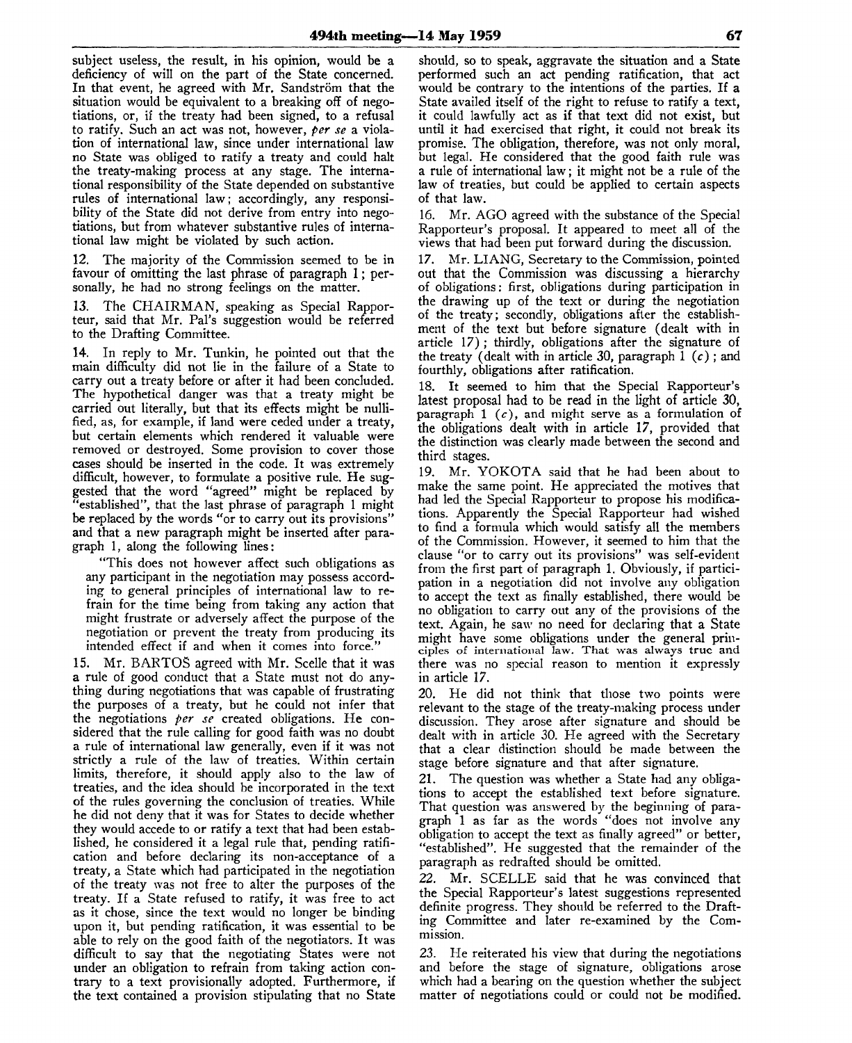subject useless, the result, in his opinion, would be a deficiency of will on the part of the State concerned. In that event, he agreed with Mr. Sandström that the situation would be equivalent to a breaking off of negotiations, or, if the treaty had been signed, to a refusal to ratify. Such an act was not, however, *per se* a violation of international law, since under international law no State was obliged to ratify a treaty and could halt the treaty-making process at any stage. The international responsibility of the State depended on substantive rules of international law; accordingly, any responsibility of the State did not derive from entry into negotiations, but from whatever substantive rules of international law might be violated by such action.

12. The majority of the Commission seemed to be in favour of omitting the last phrase of paragraph 1; personally, he had no strong feelings on the matter.

13. The CHAIRMAN, speaking as Special Rapporteur, said that Mr. Pal's suggestion would be referred to the Drafting Committee.

14. In reply to Mr. Tunkin, he pointed out that the main difficulty did not lie in the failure of a State to carry out a treaty before or after it had been concluded. The hypothetical danger was that a treaty might be carried out literally, but that its effects might be nullified, as, for example, if land were ceded under a treaty, but certain elements which rendered it valuable were removed or destroyed. Some provision to cover those cases should be inserted in the code. It was extremely difficult, however, to formulate a positive rule. He suggested that the word "agreed" might be replaced by "established", that the last phrase of paragraph 1 might be replaced by the words "or to carry out its provisions" and that a new paragraph might be inserted after paragraph 1, along the following lines:

"This does not however affect such obligations as any participant in the negotiation may possess according to general principles of international law to refrain for the time being from taking any action that might frustrate or adversely affect the purpose of the negotiation or prevent the treaty from producing its intended effect if and when it comes into force."

15. Mr. BARTOS agreed with Mr. Scelle that it was a rule of good conduct that a State must not do anything during negotiations that was capable of frustrating the purposes of a treaty, but he could not infer that the negotiations *per se* created obligations. He considered that the rule calling for good faith was no doubt a rule of international law generally, even if it was not strictly a rule of the law of treaties. Within certain limits, therefore, it should apply also to the law of treaties, and the idea should be incorporated in the text of the rules governing the conclusion of treaties. While he did not deny that it was for States to decide whether they would accede to or ratify a text that had been established, he considered it a legal rule that, pending ratification and before declaring its non-acceptance of a treaty, a State which had participated in the negotiation of the treaty was not free to alter the purposes of the treaty. If a State refused to ratify, it was free to act as it chose, since the text would no longer be binding upon it, but pending ratification, it was essential to be able to rely on the good faith of the negotiators. It was difficult to say that the negotiating States were not under an obligation to refrain from taking action contrary to a text provisionally adopted. Furthermore, if the text contained a provision stipulating that no State should, so to speak, aggravate the situation and a State performed such an act pending ratification, that act would be contrary to the intentions of the parties. If a State availed itself of the right to refuse to ratify a text, it could lawfully act as if that text did not exist, but until it had exercised that right, it could not break its promise. The obligation, therefore, was not only moral, but legal. He considered that the good faith rule was a rule of international law; it might not be a rule of the law of treaties, but could be applied to certain aspects of that law.

16. Mr. AGO agreed with the substance of the Special Rapporteur's proposal. It appeared to meet all of the views that had been put forward during the discussion.

17. Mr. LIANG, Secretary to the Commission, pointed out that the Commission was discussing a hierarchy of obligations: first, obligations during participation in the drawing up of the text or during the negotiation of the treaty; secondly, obligations after the establishment of the text but before signature (dealt with in article 17) ; thirdly, obligations after the signature of the treaty (dealt with in article 30, paragraph 1 *(c)* ; and fourthly, obligations after ratification.

18. It seemed to him that the Special Rapporteur's latest proposal had to be read in the light of article 30, paragraph  $1$  (c), and might serve as a formulation of the obligations dealt with in article 17, provided that the distinction was clearly made between the second and third stages.

19. Mr. YOKOTA said that he had been about to make the same point. He appreciated the motives that had led the Special Rapporteur to propose his modifications. Apparently the Special Rapporteur had wished to find a formula which would satisfy all the members of the Commission. However, it seemed to him that the clause "or to carry out its provisions" was self-evident from the first part of paragraph 1. Obviously, if participation in a negotiation did not involve any obligation to accept the text as finally established, there would be no obligation to carry out any of the provisions of the text. Again, he saw no need for declaring that a State might have some obligations under the general principles of international law. That was always true and there was no special reason to mention it expressly in article 17.

20. He did not think that those two points were relevant to the stage of the treaty-making process under discussion. They arose after signature and should be dealt with in article 30. He agreed with the Secretary that a clear distinction should be made between the stage before signature and that after signature.

21. The question was whether a State had any obligations to accept the established text before signature. That question was answered by the beginning of paragraph 1 as far as the words "does not involve any obligation to accept the text as finally agreed" or better, "established". He suggested that the remainder of the paragraph as redrafted should be omitted.

*22.* Mr. SCELLE said that he was convinced that the Special Rapporteur's latest suggestions represented definite progress. They should be referred to the Drafting Committee and later re-examined by the Commission.

23. He reiterated his view that during the negotiations and before the stage of signature, obligations arose which had a bearing on the question whether the subject matter of negotiations could or could not be modified.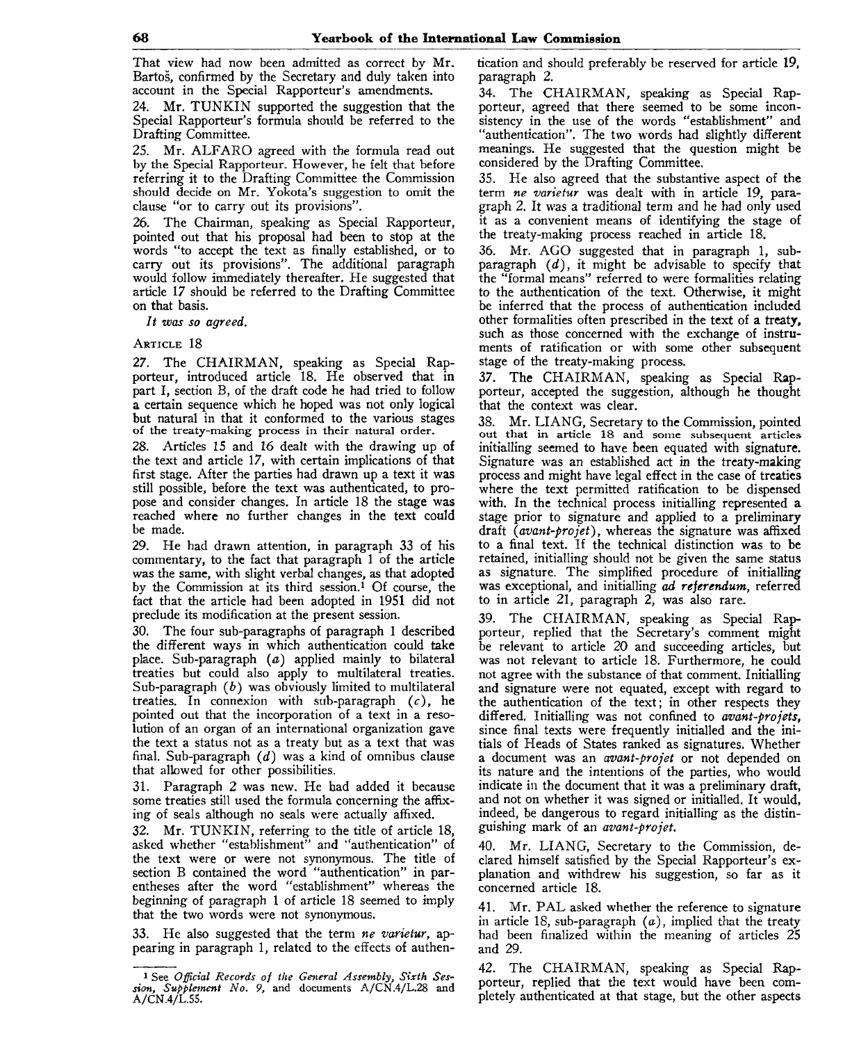That view had now been admitted as correct by Mr. Bartos, confirmed by the Secretary and duly taken into account in the Special Rapporteur's amendments.

24. Mr. TUNKIN supported the suggestion that the Special Rapporteur's formula should be referred to the Drafting Committee.

25. Mr. ALFARO agreed with the formula read out by the Special Rapporteur. However, he felt that before referring it to the Drafting Committee the Commission should decide on Mr. Yokota's suggestion to omit the clause "or to carry out its provisions".

26. The Chairman, speaking as Special Rapporteur, pointed out that his proposal had been to stop at the words "to accept the text as finally established, or to carry out its provisions". The additional paragraph would follow immediately thereafter. He suggested that article 17 should be referred to the Drafting Committee on that basis.

*It was so agreed.*

## ARTICLE 18

27. The CHAIRMAN, speaking as Special Rapporteur, introduced article 18. He observed that in part I, section B, of the draft code he had tried to follow a certain sequence which he hoped was not only logical but natural in that it conformed to the various stages of the treaty-making process in their natural order.

28. Articles 15 and 16 dealt with the drawing up of the text and article 17, with certain implications of that first stage. After the parties had drawn up a text it was still possible, before the text was authenticated, to propose and consider changes. In article 18 the stage was reached where no further changes in the text could be made.

29. He had drawn attention, in paragraph 33 of his commentary, to the fact that paragraph 1 of the article was the same, with slight verbal changes, as that adopted by the Commission at its third session.<sup>1</sup> Of course, the fact that the article had been adopted in 1951 did not preclude its modification at the present session.

30. The four sub-paragraphs of paragraph 1 described the different ways in which authentication could take place. Sub-paragraph *(a)* applied mainly to bilateral treaties but could also apply to multilateral treaties. Sub-paragraph *(b)* was obviously limited to multilateral treaties. In connexion with sub-paragraph  $(c)$ , he pointed out that the incorporation of a text in a resolution of an organ of an international organization gave the text a status not as a treaty but as a text that was final. Sub-paragraph *(d)* was a kind of omnibus clause that allowed for other possibilities.

31. Paragraph 2 was new. He had added it because some treaties still used the formula concerning the affixing of seals although no seals were actually affixed.

32. Mr. TUNKIN, referring to the title of article 18, asked whether "establishment" and "authentication" of the text were or were not synonymous. The title of section B contained the word "authentication" in parentheses after the word "establishment" whereas the beginning of paragraph 1 of article 18 seemed to imply that the two words were not synonymous.

33. He also suggested that the term *ne varietur,* appearing in paragraph 1, related to the effects of authentication and should preferably be reserved for article 19, paragraph 2.

34. The CHAIRMAN, speaking as Special Rapporteur, agreed that there seemed to be some inconsistency in the use of the words "establishment" and "authentication". The two words had slightly different meanings. He suggested that the question might be considered by the Drafting Committee.

35. He also agreed that the substantive aspect of the term *ne varietur* was dealt with in article 19, paragraph 2. It was a traditional term and he had only used it as a convenient means of identifying the stage of the treaty-making process reached in article 18.

36. Mr. AGO suggested that in paragraph 1, subparagraph *(d),* it might be advisable to specify that the "formal means" referred to were formalities relating to the authentication of the text. Otherwise, it might be inferred that the process of authentication included other formalities often prescribed in the text of a treaty, such as those concerned with the exchange of instruments of ratification or with some other subsequent stage of the treaty-making process.

37. The CHAIRMAN, speaking as Special Rapporteur, accepted the suggestion, although he thought that the context was clear.

38. Mr. LIANG, Secretary to the Commission, pointed out that in article 18 and some subsequent articles initialling seemed to have been equated with signature. Signature was an established act in the treaty-making process and might have legal effect in the case of treaties where the text permitted ratification to be dispensed with. In the technical process initialling represented a stage prior to signature and applied to a preliminary draft *(avant-projet),* whereas the signature was affixed to a final text. If the technical distinction was to be retained, initialling should not be given the same status as signature. The simplified procedure of initialling was exceptional, and initialling *ad referendum,* referred to in article 21, paragraph 2, was also rare.

39. The CHAIRMAN, speaking as Special Rapporteur, replied that the Secretary's comment might be relevant to article *20* and succeeding articles, but was not relevant to article 18. Furthermore, he could not agree with the substance of that comment. Initialling and signature were not equated, except with regard to the authentication of the text; in other respects they differed. Initialling was not confined to *avant-projets,* since final texts were frequently initialled and the initials of Heads of States ranked as signatures. Whether a document was an *avant-projet* or not depended on its nature and the intentions of the parties, who would indicate in the document that it was a preliminary draft, and not on whether it was signed or initialled. It would, indeed, be dangerous to regard initialling as the distinguishing mark of an *avant-projet.*

40. Mr. LIANG, Secretary to the Commission, declared himself satisfied by the Special Rapporteur's explanation and withdrew his suggestion, so far as it concerned article 18.

Mr. PAL asked whether the reference to signature in article 18, sub-paragraph *(a),* implied that the treaty had been finalized within the meaning of articles 25 and 29.

42. The CHAIRMAN, speaking as Special Rapporteur, replied that the text would have been completely authenticated at that stage, but the other aspects

<sup>1</sup> See *Official Records of the General Assembly, Sixth Session, Supplement No. 9,* and documents A/CN.4/L.28 and A/CN.4/L.55.